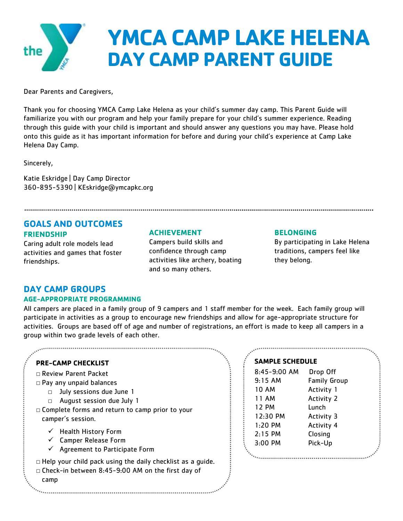

Dear Parents and Caregivers,

Thank you for choosing YMCA Camp Lake Helena as your child's summer day camp. This Parent Guide will familiarize you with our program and help your family prepare for your child's summer experience. Reading through this guide with your child is important and should answer any questions you may have. Please hold onto this guide as it has important information for before and during your child's experience at Camp Lake Helena Day Camp.

Sincerely,

Katie Eskridge | Day Camp Director 360-895-5390 | KEskridge@ymcapkc.org

# **GOALS AND OUTCOMES FRIENDSHIP**

Caring adult role models lead activities and games that foster friendships.

## **ACHIEVEMENT**

Campers build skills and confidence through camp activities like archery, boating and so many others.

## **BELONGING**

By participating in Lake Helena traditions, campers feel like they belong.

## **DAY CAMP GROUPS**

### **AGE-APPROPRIATE PROGRAMMING**

All campers are placed in a family group of 9 campers and 1 staff member for the week. Each family group will participate in activities as a group to encourage new friendships and allow for age-appropriate structure for activities. Groups are based off of age and number of registrations, an effort is made to keep all campers in a group within two grade levels of each other.

- □ Review Parent Packet
- □ Pay any unpaid balances
	- □ July sessions due June 1
	- □ August session due July 1
- □ Complete forms and return to camp prior to your camper's session.
	- $\checkmark$  Health History Form
	- $\checkmark$  Camper Release Form
	- $\checkmark$  Agreement to Participate Form

 $\Box$  Help your child pack using the daily checklist as a quide.

□ Check-in between 8:45-9:00 AM on the first day of

### camp

## **SAMPLE SCHEDULE**

| 8:45-9:00 AM | Drop Off            |  |
|--------------|---------------------|--|
| 9:15AM       | <b>Family Group</b> |  |
| 10 AM        | Activity 1          |  |
| 11 AM        | <b>Activity 2</b>   |  |
| 12 PM        | Lunch               |  |
| 12:30 PM     | Activity 3          |  |
| $1:20$ PM    | <b>Activity 4</b>   |  |
| $2:15$ PM    | Closing             |  |
| 3:00 PM      | Pick-Up             |  |
|              |                     |  |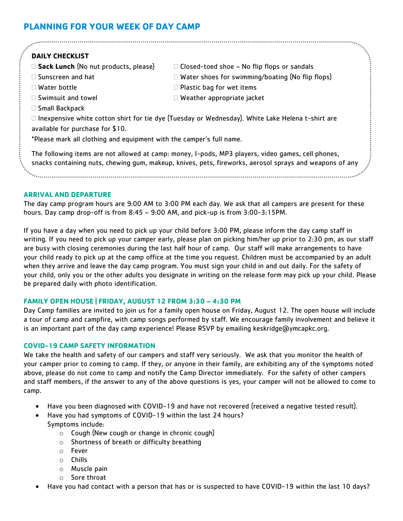# **PLANNING FOR YOUR WEEK OF DAY CAMP**

# **DAILY CHECKLIST**

- □ **Sack Lunch** (No nut products, please) □ Closed-toed shoe No flip flops or sandals
- $\square$  Sunscreen and hat  $\square$  Water shoes for swimming/boating (No flip flops)
- 

□ Small Backpack

- $\Box$  Swimsuit and towel  $\Box$  Weather appropriate jacket
- 
- $\Box$  Water bottle  $\Box$  Plastic bag for wet items
	-
- 

 $\Box$  Inexpensive white cotton shirt for tie dye (Tuesday or Wednesday). White Lake Helena t-shirt are available for purchase for \$10.

\*Please mark all clothing and equipment with the camper's full name.

The following items are not allowed at camp: money, I-pods, MP3 players, video games, cell phones, snacks containing nuts, chewing gum, makeup, knives, pets, fireworks, aerosol sprays and weapons of any

kind. 

## **ARRIVAL AND DEPARTURE**

The day camp program hours are 9:00 AM to 3:00 PM each day. We ask that all campers are present for these hours. Day camp drop-off is from 8:45 – 9:00 AM, and pick-up is from 3:00-3:15PM.

If you have a day when you need to pick up your child before 3:00 PM, please inform the day camp staff in writing. If you need to pick up your camper early, please plan on picking him/her up prior to 2:30 pm, as our staff are busy with closing ceremonies during the last half hour of camp. Our staff will make arrangements to have your child ready to pick up at the camp office at the time you request. Children must be accompanied by an adult when they arrive and leave the day camp program. You must sign your child in and out daily. For the safety of your child, only you or the other adults you designate in writing on the release form may pick up your child. Please be prepared daily with photo identification.

## **FAMILY OPEN HOUSE | FRIDAY, AUGUST 12 FROM 3:30 – 4:30 PM**

Day Camp families are invited to join us for a family open house on Friday, August 12. The open house will include a tour of camp and campfire, with camp songs performed by staff. We encourage family involvement and believe it is an important part of the day camp experience! Please RSVP by emailing keskridge@ymcapkc.org.

## **COVID-19 CAMP SAFETY INFORMATION**

We take the health and safety of our campers and staff very seriously. We ask that you monitor the health of your camper prior to coming to camp. If they, or anyone in their family, are exhibiting any of the symptoms noted above, please do not come to camp and notify the Camp Director immediately. For the safety of other campers and staff members, if the answer to any of the above questions is yes, your camper will not be allowed to come to camp.

- Have you been diagnosed with COVID-19 and have not recovered (received a negative tested result).
- Have you had symptoms of COVID-19 within the last 24 hours? Symptoms include:
	- o Cough (New cough or change in chronic cough)
	- o Shortness of breath or difficulty breathing
	- o Fever
	- o Chills
	- o Muscle pain
	- o Sore throat
- Have you had contact with a person that has or is suspected to have COVID-19 within the last 10 days?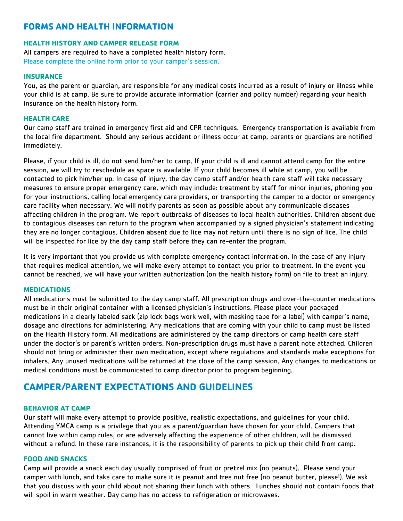# **FORMS AND HEALTH INFORMATION**

## **HEALTH HISTORY AND CAMPER RELEASE FORM**

All campers are required to have a completed health history form. Please complete the online form prior to your camper's session.

## **INSURANCE**

You, as the parent or guardian, are responsible for any medical costs incurred as a result of injury or illness while your child is at camp. Be sure to provide accurate information (carrier and policy number) regarding your health insurance on the health history form.

## **HEALTH CARE**

Our camp staff are trained in emergency first aid and CPR techniques. Emergency transportation is available from the local fire department. Should any serious accident or illness occur at camp, parents or guardians are notified immediately.

Please, if your child is ill, do not send him/her to camp. If your child is ill and cannot attend camp for the entire session, we will try to reschedule as space is available. If your child becomes ill while at camp, you will be contacted to pick him/her up. In case of injury, the day camp staff and/or health care staff will take necessary measures to ensure proper emergency care, which may include: treatment by staff for minor injuries, phoning you for your instructions, calling local emergency care providers, or transporting the camper to a doctor or emergency care facility when necessary. We will notify parents as soon as possible about any communicable diseases affecting children in the program. We report outbreaks of diseases to local health authorities. Children absent due to contagious diseases can return to the program when accompanied by a signed physician's statement indicating they are no longer contagious. Children absent due to lice may not return until there is no sign of lice. The child will be inspected for lice by the day camp staff before they can re-enter the program.

It is very important that you provide us with complete emergency contact information. In the case of any injury that requires medical attention, we will make every attempt to contact you prior to treatment. In the event you cannot be reached, we will have your written authorization (on the health history form) on file to treat an injury.

### **MEDICATIONS**

All medications must be submitted to the day camp staff. All prescription drugs and over-the-counter medications must be in their original container with a licensed physician's instructions. Please place your packaged medications in a clearly labeled sack (zip lock bags work well, with masking tape for a label) with camper's name, dosage and directions for administering. Any medications that are coming with your child to camp must be listed on the Health History form. All medications are administered by the camp directors or camp health care staff under the doctor's or parent's written orders. Non-prescription drugs must have a parent note attached. Children should not bring or administer their own medication, except where regulations and standards make exceptions for inhalers. Any unused medications will be returned at the close of the camp session. Any changes to medications or medical conditions must be communicated to camp director prior to program beginning.

# **CAMPER/PARENT EXPECTATIONS AND GUIDELINES**

### **BEHAVIOR AT CAMP**

Our staff will make every attempt to provide positive, realistic expectations, and guidelines for your child. Attending YMCA camp is a privilege that you as a parent/guardian have chosen for your child. Campers that cannot live within camp rules, or are adversely affecting the experience of other children, will be dismissed without a refund. In these rare instances, it is the responsibility of parents to pick up their child from camp.

## **FOOD AND SNACKS**

Camp will provide a snack each day usually comprised of fruit or pretzel mix (no peanuts). Please send your camper with lunch, and take care to make sure it is peanut and tree nut free (no peanut butter, please!). We ask that you discuss with your child about not sharing their lunch with others. Lunches should not contain foods that will spoil in warm weather. Day camp has no access to refrigeration or microwaves.